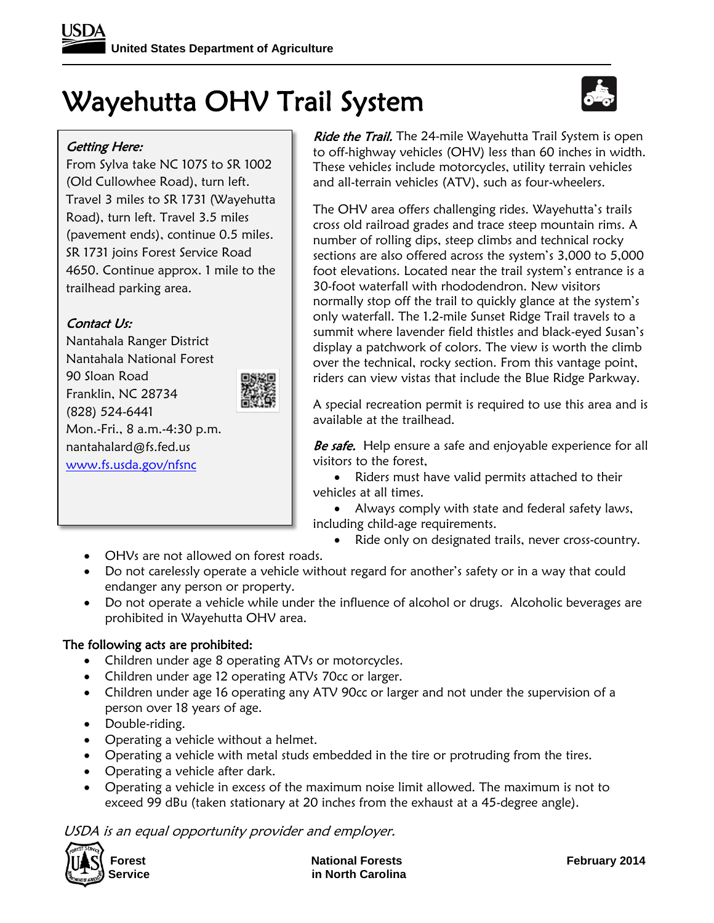# Wayehutta OHV Trail System



### Getting Here:

From Sylva take NC 107S to SR 1002 (Old Cullowhee Road), turn left. Travel 3 miles to SR 1731 (Wayehutta Road), turn left. Travel 3.5 miles (pavement ends), continue 0.5 miles. SR 1731 joins Forest Service Road 4650. Continue approx. 1 mile to the trailhead parking area.

## Contact Us:

Nantahala Ranger District Nantahala National Forest 90 Sloan Road Franklin, NC 28734 (828) 524-6441 Mon.-Fri., 8 a.m.-4:30 p.m. nantahalard@fs.fed.us [www.fs.usda.gov/nfsnc](http://www.fs.usda.gov/nfsnc)



Ride the Trail. The 24-mile Wayehutta Trail System is open to off-highway vehicles (OHV) less than 60 inches in width. These vehicles include motorcycles, utility terrain vehicles and all-terrain vehicles (ATV), such as four-wheelers.

The OHV area offers challenging rides. Wayehutta's trails cross old railroad grades and trace steep mountain rims. A number of rolling dips, steep climbs and technical rocky sections are also offered across the system's 3,000 to 5,000 foot elevations. Located near the trail system's entrance is a 30-foot waterfall with rhododendron. New visitors normally stop off the trail to quickly glance at the system's only waterfall. The 1.2-mile Sunset Ridge Trail travels to a summit where lavender field thistles and black-eyed Susan's display a patchwork of colors. The view is worth the climb over the technical, rocky section. From this vantage point, riders can view vistas that include the Blue Ridge Parkway.

A special recreation permit is required to use this area and is available at the trailhead.

Be safe. Help ensure a safe and enjoyable experience for all visitors to the forest,

• Riders must have valid permits attached to their vehicles at all times.

 Always comply with state and federal safety laws, including child-age requirements.

- Ride only on designated trails, never cross-country.
- OHVs are not allowed on forest roads.
- Do not carelessly operate a vehicle without regard for another's safety or in a way that could endanger any person or property.
- Do not operate a vehicle while under the influence of alcohol or drugs. Alcoholic beverages are prohibited in Wayehutta OHV area.

#### The following acts are prohibited:

- Children under age 8 operating ATVs or motorcycles.
- Children under age 12 operating ATVs 70cc or larger.
- Children under age 16 operating any ATV 90cc or larger and not under the supervision of a person over 18 years of age.
- Double-riding.
- Operating a vehicle without a helmet.
- Operating a vehicle with metal studs embedded in the tire or protruding from the tires.
- Operating a vehicle after dark.
- Operating a vehicle in excess of the maximum noise limit allowed. The maximum is not to exceed 99 dBu (taken stationary at 20 inches from the exhaust at a 45-degree angle).

USDA is an equal opportunity provider and employer.